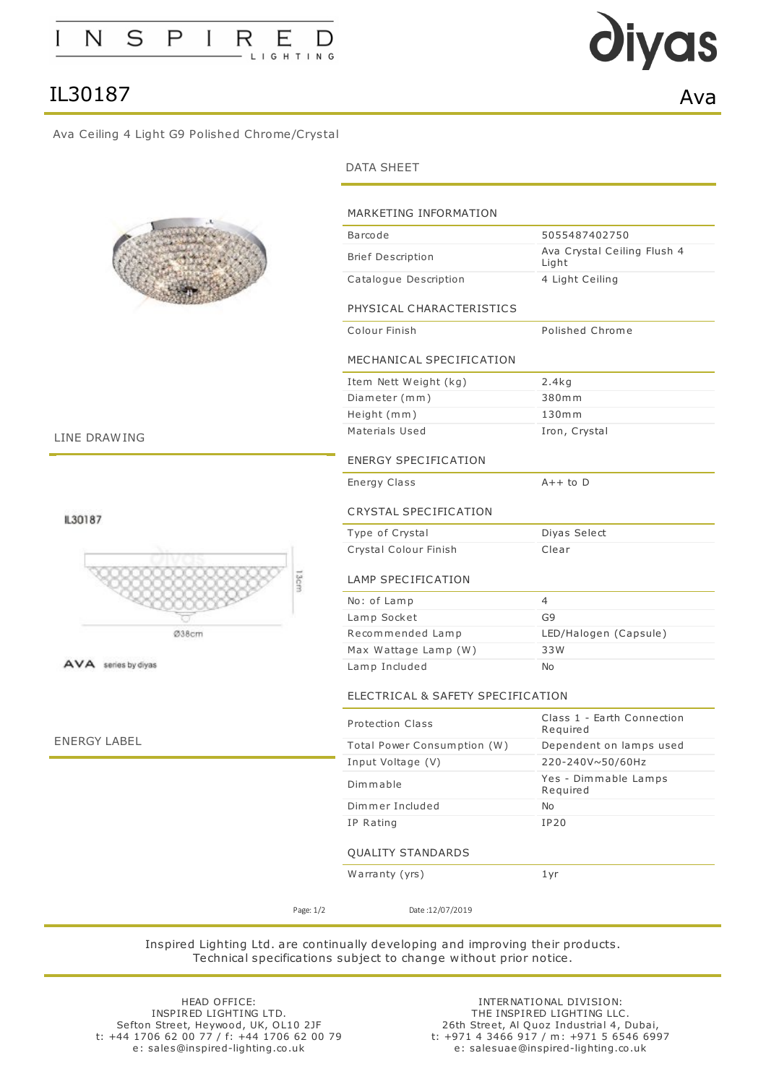

## IL30187 Ava

### <span id="page-0-0"></span>Ava Ceiling 4 Light G9 Polished Chrome/Crystal



LINE DRAWING

IL30187



AVA series by diyas

ENERGY LABEL

#### DATA SHEET

| 5055487402750<br>Barcode<br><b>Brief Description</b><br>Light<br>Catalogue Description<br>4 Light Ceiling<br>PHYSICAL CHARACTERISTICS<br>Polished Chrome<br>Colour Finish<br>MECHANICAL SPECIFICATION<br>Item Nett Weight (kg)<br>2.4kg<br>Diameter (mm)<br>380mm<br>$130m$ m<br>Height (mm)<br>Materials Used<br>Iron, Crystal<br><b>ENERGY SPECIFICATION</b><br>$A++$ to $D$<br>Energy Class<br>CRYSTAL SPECIFICATION<br>Type of Crystal<br>Diyas Select<br>Clear<br>Crystal Colour Finish<br>3cm<br>LAMP SPECIFICATION<br>4<br>No: of Lamp<br>G9<br>Lamp Socket<br>Recommended Lamp<br>33W<br>Max Wattage Lamp (W)<br>Lamp Included<br>No<br>ELECTRICAL & SAFETY SPECIFICATION<br><b>Protection Class</b><br>Required<br>Total Power Consumption (W)<br>220-240V~50/60Hz<br>Input Voltage (V)<br>Dimmable<br>Required<br>Dimmer Included<br>No<br>IP Rating<br><b>IP20</b><br>QUALITY STANDARDS<br>Warranty (yrs)<br>1 yr |                             |
|------------------------------------------------------------------------------------------------------------------------------------------------------------------------------------------------------------------------------------------------------------------------------------------------------------------------------------------------------------------------------------------------------------------------------------------------------------------------------------------------------------------------------------------------------------------------------------------------------------------------------------------------------------------------------------------------------------------------------------------------------------------------------------------------------------------------------------------------------------------------------------------------------------------------------|-----------------------------|
|                                                                                                                                                                                                                                                                                                                                                                                                                                                                                                                                                                                                                                                                                                                                                                                                                                                                                                                              |                             |
|                                                                                                                                                                                                                                                                                                                                                                                                                                                                                                                                                                                                                                                                                                                                                                                                                                                                                                                              | Ava Crystal Ceiling Flush 4 |
|                                                                                                                                                                                                                                                                                                                                                                                                                                                                                                                                                                                                                                                                                                                                                                                                                                                                                                                              |                             |
|                                                                                                                                                                                                                                                                                                                                                                                                                                                                                                                                                                                                                                                                                                                                                                                                                                                                                                                              |                             |
|                                                                                                                                                                                                                                                                                                                                                                                                                                                                                                                                                                                                                                                                                                                                                                                                                                                                                                                              |                             |
|                                                                                                                                                                                                                                                                                                                                                                                                                                                                                                                                                                                                                                                                                                                                                                                                                                                                                                                              |                             |
|                                                                                                                                                                                                                                                                                                                                                                                                                                                                                                                                                                                                                                                                                                                                                                                                                                                                                                                              |                             |
|                                                                                                                                                                                                                                                                                                                                                                                                                                                                                                                                                                                                                                                                                                                                                                                                                                                                                                                              |                             |
|                                                                                                                                                                                                                                                                                                                                                                                                                                                                                                                                                                                                                                                                                                                                                                                                                                                                                                                              |                             |
|                                                                                                                                                                                                                                                                                                                                                                                                                                                                                                                                                                                                                                                                                                                                                                                                                                                                                                                              |                             |
|                                                                                                                                                                                                                                                                                                                                                                                                                                                                                                                                                                                                                                                                                                                                                                                                                                                                                                                              |                             |
|                                                                                                                                                                                                                                                                                                                                                                                                                                                                                                                                                                                                                                                                                                                                                                                                                                                                                                                              |                             |
|                                                                                                                                                                                                                                                                                                                                                                                                                                                                                                                                                                                                                                                                                                                                                                                                                                                                                                                              |                             |
|                                                                                                                                                                                                                                                                                                                                                                                                                                                                                                                                                                                                                                                                                                                                                                                                                                                                                                                              |                             |
|                                                                                                                                                                                                                                                                                                                                                                                                                                                                                                                                                                                                                                                                                                                                                                                                                                                                                                                              |                             |
|                                                                                                                                                                                                                                                                                                                                                                                                                                                                                                                                                                                                                                                                                                                                                                                                                                                                                                                              |                             |
|                                                                                                                                                                                                                                                                                                                                                                                                                                                                                                                                                                                                                                                                                                                                                                                                                                                                                                                              |                             |
|                                                                                                                                                                                                                                                                                                                                                                                                                                                                                                                                                                                                                                                                                                                                                                                                                                                                                                                              |                             |
|                                                                                                                                                                                                                                                                                                                                                                                                                                                                                                                                                                                                                                                                                                                                                                                                                                                                                                                              | LED/Halogen (Capsule)       |
|                                                                                                                                                                                                                                                                                                                                                                                                                                                                                                                                                                                                                                                                                                                                                                                                                                                                                                                              |                             |
|                                                                                                                                                                                                                                                                                                                                                                                                                                                                                                                                                                                                                                                                                                                                                                                                                                                                                                                              |                             |
|                                                                                                                                                                                                                                                                                                                                                                                                                                                                                                                                                                                                                                                                                                                                                                                                                                                                                                                              |                             |
|                                                                                                                                                                                                                                                                                                                                                                                                                                                                                                                                                                                                                                                                                                                                                                                                                                                                                                                              | Class 1 - Earth Connection  |
|                                                                                                                                                                                                                                                                                                                                                                                                                                                                                                                                                                                                                                                                                                                                                                                                                                                                                                                              | Dependent on lamps used     |
|                                                                                                                                                                                                                                                                                                                                                                                                                                                                                                                                                                                                                                                                                                                                                                                                                                                                                                                              |                             |
|                                                                                                                                                                                                                                                                                                                                                                                                                                                                                                                                                                                                                                                                                                                                                                                                                                                                                                                              | Yes - Dimmable Lamps        |
|                                                                                                                                                                                                                                                                                                                                                                                                                                                                                                                                                                                                                                                                                                                                                                                                                                                                                                                              |                             |
|                                                                                                                                                                                                                                                                                                                                                                                                                                                                                                                                                                                                                                                                                                                                                                                                                                                                                                                              |                             |
|                                                                                                                                                                                                                                                                                                                                                                                                                                                                                                                                                                                                                                                                                                                                                                                                                                                                                                                              |                             |
|                                                                                                                                                                                                                                                                                                                                                                                                                                                                                                                                                                                                                                                                                                                                                                                                                                                                                                                              |                             |
| Page: 1/2<br>Date: 12/07/2019                                                                                                                                                                                                                                                                                                                                                                                                                                                                                                                                                                                                                                                                                                                                                                                                                                                                                                |                             |

Inspired Lighting Ltd. are continually developing and improving their products. Technical specifications subject to change without prior notice.